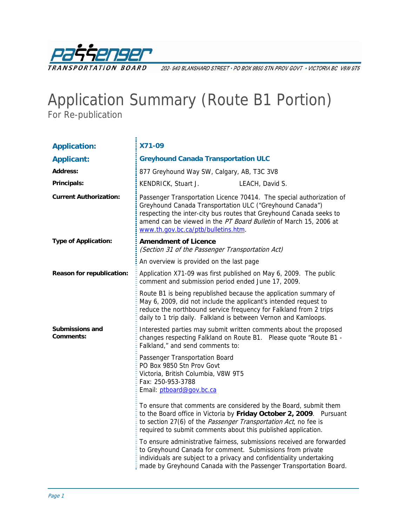

202- 940 BLANSHARD STREET · PO BOX 9850 STN PROV GOVT · VICTORIA BC V8W 9T5

## Application Summary (Route B1 Portion)

For Re-publication

| <b>Application:</b>                 | X71-09                                                                                                                                                                                                                                                                                                              |  |  |
|-------------------------------------|---------------------------------------------------------------------------------------------------------------------------------------------------------------------------------------------------------------------------------------------------------------------------------------------------------------------|--|--|
| <b>Applicant:</b>                   | <b>Greyhound Canada Transportation ULC</b>                                                                                                                                                                                                                                                                          |  |  |
| <b>Address:</b>                     | 877 Greyhound Way SW, Calgary, AB, T3C 3V8                                                                                                                                                                                                                                                                          |  |  |
| Principals:                         | KENDRICK, Stuart J.<br>LEACH, David S.                                                                                                                                                                                                                                                                              |  |  |
| <b>Current Authorization:</b>       | Passenger Transportation Licence 70414. The special authorization of<br>Greyhound Canada Transportation ULC ("Greyhound Canada")<br>respecting the inter-city bus routes that Greyhound Canada seeks to<br>amend can be viewed in the PT Board Bulletin of March 15, 2006 at<br>www.th.gov.bc.ca/ptb/bulletins.htm. |  |  |
| <b>Type of Application:</b>         | <b>Amendment of Licence</b><br>(Section 31 of the Passenger Transportation Act)                                                                                                                                                                                                                                     |  |  |
|                                     | An overview is provided on the last page                                                                                                                                                                                                                                                                            |  |  |
| Reason for republication:           | Application X71-09 was first published on May 6, 2009. The public<br>comment and submission period ended June 17, 2009.                                                                                                                                                                                             |  |  |
|                                     | Route B1 is being republished because the application summary of<br>May 6, 2009, did not include the applicant's intended request to<br>reduce the northbound service frequency for Falkland from 2 trips<br>daily to 1 trip daily. Falkland is between Vernon and Kamloops.                                        |  |  |
| <b>Submissions and</b><br>Comments: | Interested parties may submit written comments about the proposed<br>changes respecting Falkland on Route B1. Please quote "Route B1 -<br>Falkland," and send comments to:                                                                                                                                          |  |  |
|                                     | Passenger Transportation Board<br>PO Box 9850 Stn Prov Govt<br>Victoria, British Columbia, V8W 9T5<br>Fax: 250-953-3788<br>Email: ptboard@gov.bc.ca                                                                                                                                                                 |  |  |
|                                     | To ensure that comments are considered by the Board, submit them<br>to the Board office in Victoria by Friday October 2, 2009. Pursuant<br>to section 27(6) of the Passenger Transportation Act, no fee is<br>required to submit comments about this published application.                                         |  |  |
|                                     | To ensure administrative fairness, submissions received are forwarded<br>to Greyhound Canada for comment. Submissions from private<br>individuals are subject to a privacy and confidentiality undertaking<br>made by Greyhound Canada with the Passenger Transportation Board.                                     |  |  |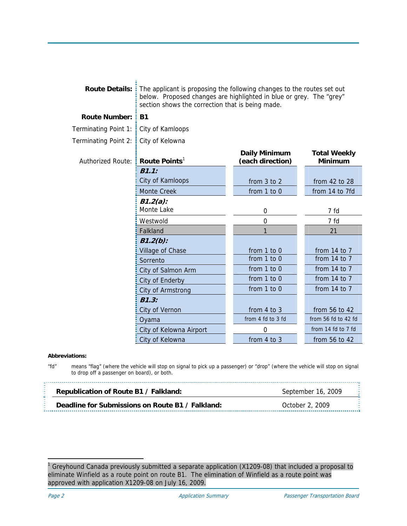|                          | <b>Route Details:</b> The applicant is proposing the following changes to the routes set out<br>below. Proposed changes are highlighted in blue or grey. The "grey"<br>section shows the correction that is being made. |                                          |                                       |
|--------------------------|-------------------------------------------------------------------------------------------------------------------------------------------------------------------------------------------------------------------------|------------------------------------------|---------------------------------------|
| <b>Route Number:</b>     | <b>B1</b>                                                                                                                                                                                                               |                                          |                                       |
| Terminating Point 1:     | City of Kamloops                                                                                                                                                                                                        |                                          |                                       |
| Terminating Point 2:     | City of Kelowna                                                                                                                                                                                                         |                                          |                                       |
| <b>Authorized Route:</b> | Route Points <sup>1</sup>                                                                                                                                                                                               | <b>Daily Minimum</b><br>(each direction) | <b>Total Weekly</b><br><b>Minimum</b> |
|                          | B1.1:                                                                                                                                                                                                                   |                                          |                                       |
|                          | City of Kamloops                                                                                                                                                                                                        | from 3 to 2                              | from 42 to 28                         |
|                          | <b>Monte Creek</b>                                                                                                                                                                                                      | from 1 to 0                              | from 14 to 7fd                        |
|                          | $B1.2(a)$ :                                                                                                                                                                                                             |                                          |                                       |
|                          | Monte Lake                                                                                                                                                                                                              | 0                                        | 7 fd                                  |
|                          | Westwold                                                                                                                                                                                                                | 0                                        | 7 fd                                  |
|                          | Falkland                                                                                                                                                                                                                | 1                                        | 21                                    |
|                          | $B1.2(b)$ :                                                                                                                                                                                                             |                                          |                                       |
|                          | Village of Chase                                                                                                                                                                                                        | from 1 to 0                              | from 14 to 7                          |
|                          | Sorrento                                                                                                                                                                                                                | from 1 to 0                              | from 14 to 7                          |
|                          | City of Salmon Arm                                                                                                                                                                                                      | from 1 to 0                              | from 14 to 7                          |
|                          | City of Enderby                                                                                                                                                                                                         | from 1 to 0                              | from 14 to 7                          |
|                          | City of Armstrong                                                                                                                                                                                                       | from 1 to 0                              | from 14 to 7                          |
|                          | B1.3:                                                                                                                                                                                                                   |                                          |                                       |
|                          | City of Vernon                                                                                                                                                                                                          | from 4 to 3                              | from 56 to 42                         |
|                          | Oyama                                                                                                                                                                                                                   | from 4 fd to 3 fd                        | from 56 fd to 42 fd                   |
|                          | City of Kelowna Airport                                                                                                                                                                                                 | 0                                        | from 14 fd to 7 fd                    |
|                          | City of Kelowna                                                                                                                                                                                                         | from $4$ to $3$                          | from 56 to 42                         |

## **Abbreviations:**

"fd" means "flag" (where the vehicle will stop on signal to pick up a passenger) or "drop" (where the vehicle will stop on signal to drop off a passenger on board), or both.

| Republication of Route B1 / Falkland:            | Æ                  |
|--------------------------------------------------|--------------------|
| <b>Contract Contract</b>                         | September 16, 2009 |
| Deadline for Submissions on Route B1 / Falkland: | October 2, 2009    |

<span id="page-1-0"></span>1 Greyhound Canada previously submitted a separate application (X1209-08) that included a proposal to eliminate Winfield as a route point on route B1. The elimination of Winfield as a route point was approved with application X1209-08 on July 16, 2009.

-